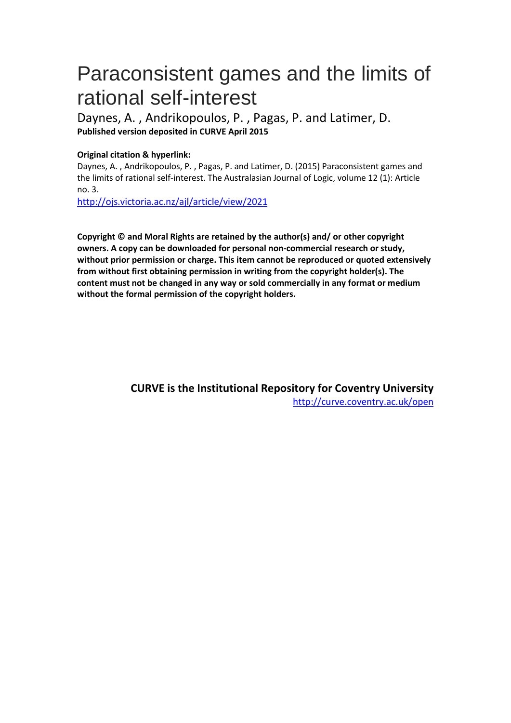# Paraconsistent games and the limits of rational self-interest

Daynes, A. , Andrikopoulos, P. , Pagas, P. and Latimer, D. **Published version deposited in CURVE April 2015**

#### **Original citation & hyperlink:**

Daynes, A. , Andrikopoulos, P. , Pagas, P. and Latimer, D. (2015) Paraconsistent games and the limits of rational self-interest. The Australasian Journal of Logic, volume 12 (1): Article no. 3.

<http://ojs.victoria.ac.nz/ajl/article/view/2021>

**Copyright © and Moral Rights are retained by the author(s) and/ or other copyright owners. A copy can be downloaded for personal non-commercial research or study, without prior permission or charge. This item cannot be reproduced or quoted extensively from without first obtaining permission in writing from the copyright holder(s). The content must not be changed in any way or sold commercially in any format or medium without the formal permission of the copyright holders.** 

> **CURVE is the Institutional Repository for Coventry University** <http://curve.coventry.ac.uk/open>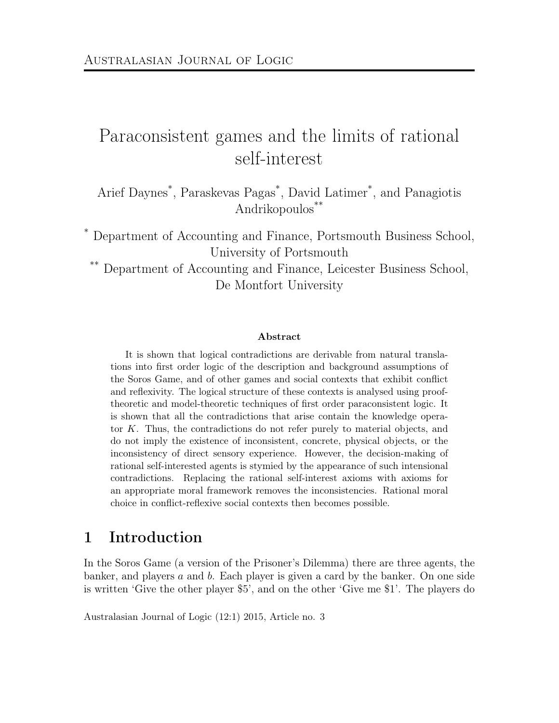## Paraconsistent games and the limits of rational self-interest

Arief Daynes\* , Paraskevas Pagas\* , David Latimer\* , and Panagiotis Andrikopoulos\*\*

\* Department of Accounting and Finance, Portsmouth Business School, University of Portsmouth

\*\* Department of Accounting and Finance, Leicester Business School, De Montfort University

#### Abstract

It is shown that logical contradictions are derivable from natural translations into first order logic of the description and background assumptions of the Soros Game, and of other games and social contexts that exhibit conflict and reflexivity. The logical structure of these contexts is analysed using prooftheoretic and model-theoretic techniques of first order paraconsistent logic. It is shown that all the contradictions that arise contain the knowledge operator K. Thus, the contradictions do not refer purely to material objects, and do not imply the existence of inconsistent, concrete, physical objects, or the inconsistency of direct sensory experience. However, the decision-making of rational self-interested agents is stymied by the appearance of such intensional contradictions. Replacing the rational self-interest axioms with axioms for an appropriate moral framework removes the inconsistencies. Rational moral choice in conflict-reflexive social contexts then becomes possible.

#### 1 Introduction

In the Soros Game (a version of the Prisoner's Dilemma) there are three agents, the banker, and players  $a$  and  $b$ . Each player is given a card by the banker. On one side is written 'Give the other player \$5', and on the other 'Give me \$1'. The players do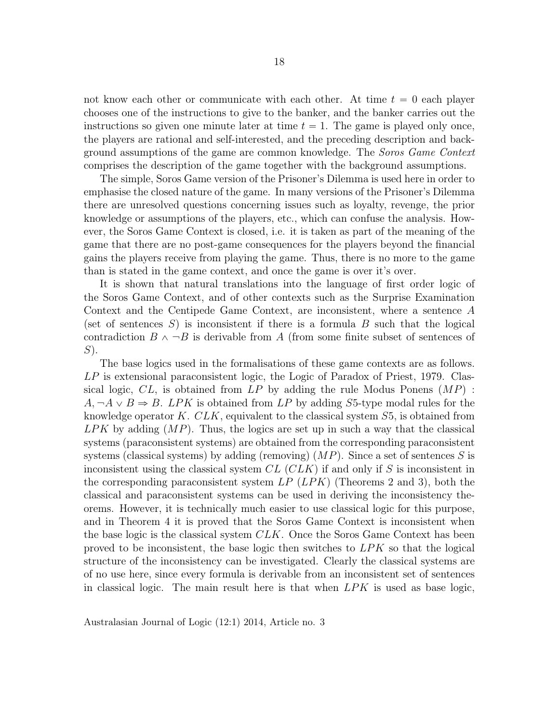not know each other or communicate with each other. At time  $t = 0$  each player chooses one of the instructions to give to the banker, and the banker carries out the instructions so given one minute later at time  $t = 1$ . The game is played only once, the players are rational and self-interested, and the preceding description and background assumptions of the game are common knowledge. The Soros Game Context comprises the description of the game together with the background assumptions.

The simple, Soros Game version of the Prisoner's Dilemma is used here in order to emphasise the closed nature of the game. In many versions of the Prisoner's Dilemma there are unresolved questions concerning issues such as loyalty, revenge, the prior knowledge or assumptions of the players, etc., which can confuse the analysis. However, the Soros Game Context is closed, i.e. it is taken as part of the meaning of the game that there are no post-game consequences for the players beyond the financial gains the players receive from playing the game. Thus, there is no more to the game than is stated in the game context, and once the game is over it's over.

It is shown that natural translations into the language of first order logic of the Soros Game Context, and of other contexts such as the Surprise Examination Context and the Centipede Game Context, are inconsistent, where a sentence A (set of sentences  $S$ ) is inconsistent if there is a formula  $B$  such that the logical contradiction  $B \wedge \neg B$  is derivable from A (from some finite subset of sentences of  $S$ ).

The base logics used in the formalisations of these game contexts are as follows. LP is extensional paraconsistent logic, the Logic of Paradox of Priest, 1979. Classical logic,  $CL$ , is obtained from  $LP$  by adding the rule Modus Ponens  $(MP)$ :  $A, \neg A \lor B \Rightarrow B$ . LPK is obtained from LP by adding S5-type modal rules for the knowledge operator  $K.$  CLK, equivalent to the classical system  $S5$ , is obtained from  $LPK$  by adding  $(MP)$ . Thus, the logics are set up in such a way that the classical systems (paraconsistent systems) are obtained from the corresponding paraconsistent systems (classical systems) by adding (removing)  $(MP)$ . Since a set of sentences S is inconsistent using the classical system  $CL$  ( $CLK$ ) if and only if S is inconsistent in the corresponding paraconsistent system  $LP(LPK)$  (Theorems 2 and 3), both the classical and paraconsistent systems can be used in deriving the inconsistency theorems. However, it is technically much easier to use classical logic for this purpose, and in Theorem 4 it is proved that the Soros Game Context is inconsistent when the base logic is the classical system  $CLK$ . Once the Soros Game Context has been proved to be inconsistent, the base logic then switches to  $LPK$  so that the logical structure of the inconsistency can be investigated. Clearly the classical systems are of no use here, since every formula is derivable from an inconsistent set of sentences in classical logic. The main result here is that when  $LPK$  is used as base logic,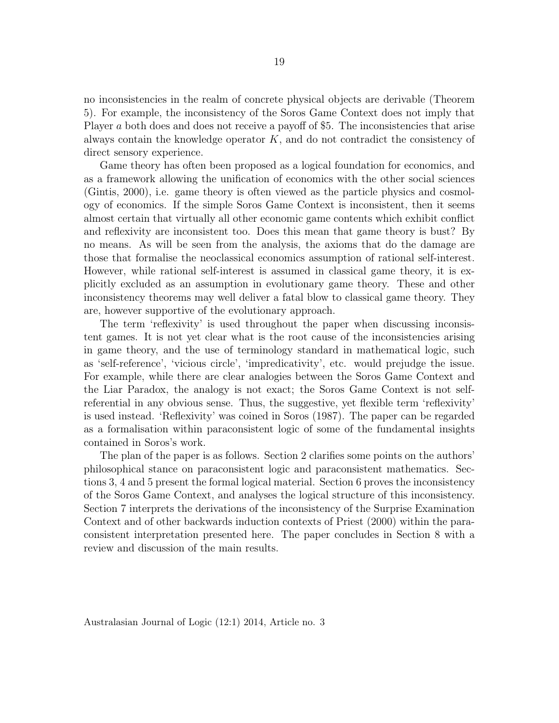no inconsistencies in the realm of concrete physical objects are derivable (Theorem 5). For example, the inconsistency of the Soros Game Context does not imply that Player a both does and does not receive a payoff of \$5. The inconsistencies that arise always contain the knowledge operator  $K$ , and do not contradict the consistency of direct sensory experience.

Game theory has often been proposed as a logical foundation for economics, and as a framework allowing the unification of economics with the other social sciences (Gintis, 2000), i.e. game theory is often viewed as the particle physics and cosmology of economics. If the simple Soros Game Context is inconsistent, then it seems almost certain that virtually all other economic game contents which exhibit conflict and reflexivity are inconsistent too. Does this mean that game theory is bust? By no means. As will be seen from the analysis, the axioms that do the damage are those that formalise the neoclassical economics assumption of rational self-interest. However, while rational self-interest is assumed in classical game theory, it is explicitly excluded as an assumption in evolutionary game theory. These and other inconsistency theorems may well deliver a fatal blow to classical game theory. They are, however supportive of the evolutionary approach.

The term 'reflexivity' is used throughout the paper when discussing inconsistent games. It is not yet clear what is the root cause of the inconsistencies arising in game theory, and the use of terminology standard in mathematical logic, such as 'self-reference', 'vicious circle', 'impredicativity', etc. would prejudge the issue. For example, while there are clear analogies between the Soros Game Context and the Liar Paradox, the analogy is not exact; the Soros Game Context is not selfreferential in any obvious sense. Thus, the suggestive, yet flexible term 'reflexivity' is used instead. 'Reflexivity' was coined in Soros (1987). The paper can be regarded as a formalisation within paraconsistent logic of some of the fundamental insights contained in Soros's work.

The plan of the paper is as follows. Section 2 clarifies some points on the authors' philosophical stance on paraconsistent logic and paraconsistent mathematics. Sections 3, 4 and 5 present the formal logical material. Section 6 proves the inconsistency of the Soros Game Context, and analyses the logical structure of this inconsistency. Section 7 interprets the derivations of the inconsistency of the Surprise Examination Context and of other backwards induction contexts of Priest (2000) within the paraconsistent interpretation presented here. The paper concludes in Section 8 with a review and discussion of the main results.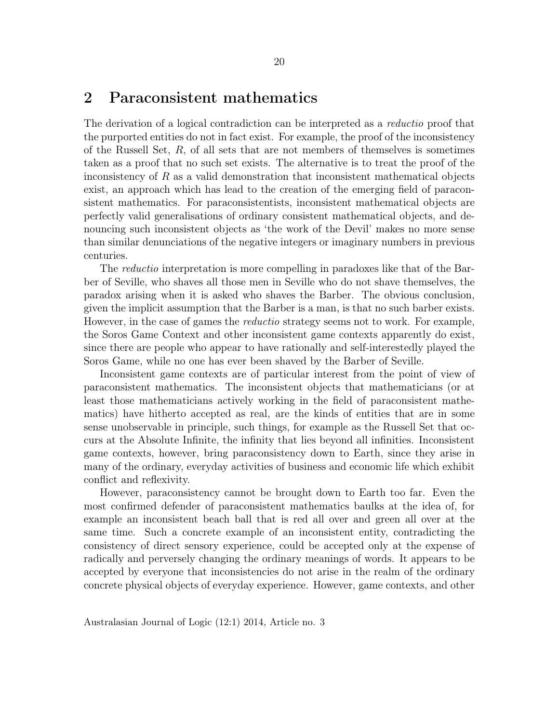#### 2 Paraconsistent mathematics

The derivation of a logical contradiction can be interpreted as a reductio proof that the purported entities do not in fact exist. For example, the proof of the inconsistency of the Russell Set,  $R$ , of all sets that are not members of themselves is sometimes taken as a proof that no such set exists. The alternative is to treat the proof of the inconsistency of  $R$  as a valid demonstration that inconsistent mathematical objects exist, an approach which has lead to the creation of the emerging field of paraconsistent mathematics. For paraconsistentists, inconsistent mathematical objects are perfectly valid generalisations of ordinary consistent mathematical objects, and denouncing such inconsistent objects as 'the work of the Devil' makes no more sense than similar denunciations of the negative integers or imaginary numbers in previous centuries.

The *reductio* interpretation is more compelling in paradoxes like that of the Barber of Seville, who shaves all those men in Seville who do not shave themselves, the paradox arising when it is asked who shaves the Barber. The obvious conclusion, given the implicit assumption that the Barber is a man, is that no such barber exists. However, in the case of games the *reductio* strategy seems not to work. For example, the Soros Game Context and other inconsistent game contexts apparently do exist, since there are people who appear to have rationally and self-interestedly played the Soros Game, while no one has ever been shaved by the Barber of Seville.

Inconsistent game contexts are of particular interest from the point of view of paraconsistent mathematics. The inconsistent objects that mathematicians (or at least those mathematicians actively working in the field of paraconsistent mathematics) have hitherto accepted as real, are the kinds of entities that are in some sense unobservable in principle, such things, for example as the Russell Set that occurs at the Absolute Infinite, the infinity that lies beyond all infinities. Inconsistent game contexts, however, bring paraconsistency down to Earth, since they arise in many of the ordinary, everyday activities of business and economic life which exhibit conflict and reflexivity.

However, paraconsistency cannot be brought down to Earth too far. Even the most confirmed defender of paraconsistent mathematics baulks at the idea of, for example an inconsistent beach ball that is red all over and green all over at the same time. Such a concrete example of an inconsistent entity, contradicting the consistency of direct sensory experience, could be accepted only at the expense of radically and perversely changing the ordinary meanings of words. It appears to be accepted by everyone that inconsistencies do not arise in the realm of the ordinary concrete physical objects of everyday experience. However, game contexts, and other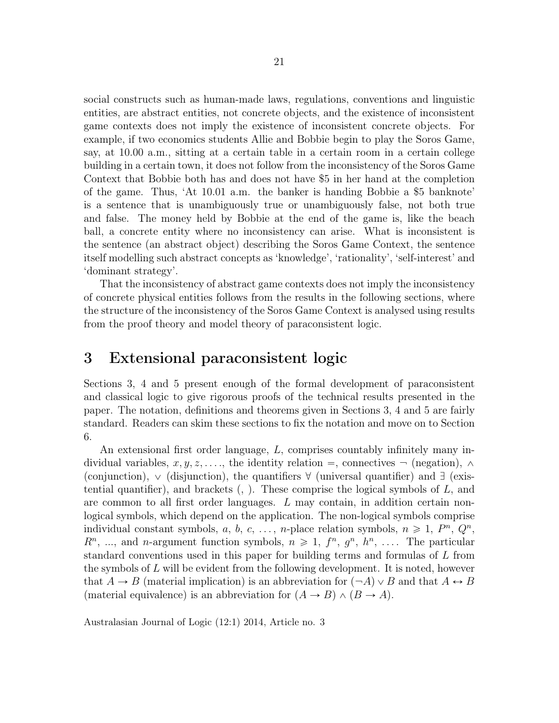social constructs such as human-made laws, regulations, conventions and linguistic entities, are abstract entities, not concrete objects, and the existence of inconsistent game contexts does not imply the existence of inconsistent concrete objects. For example, if two economics students Allie and Bobbie begin to play the Soros Game, say, at 10.00 a.m., sitting at a certain table in a certain room in a certain college building in a certain town, it does not follow from the inconsistency of the Soros Game Context that Bobbie both has and does not have \$5 in her hand at the completion of the game. Thus, 'At 10.01 a.m. the banker is handing Bobbie a \$5 banknote' is a sentence that is unambiguously true or unambiguously false, not both true and false. The money held by Bobbie at the end of the game is, like the beach ball, a concrete entity where no inconsistency can arise. What is inconsistent is the sentence (an abstract object) describing the Soros Game Context, the sentence itself modelling such abstract concepts as 'knowledge', 'rationality', 'self-interest' and 'dominant strategy'.

That the inconsistency of abstract game contexts does not imply the inconsistency of concrete physical entities follows from the results in the following sections, where the structure of the inconsistency of the Soros Game Context is analysed using results from the proof theory and model theory of paraconsistent logic.

## 3 Extensional paraconsistent logic

Sections 3, 4 and 5 present enough of the formal development of paraconsistent and classical logic to give rigorous proofs of the technical results presented in the paper. The notation, definitions and theorems given in Sections 3, 4 and 5 are fairly standard. Readers can skim these sections to fix the notation and move on to Section 6.

An extensional first order language, L, comprises countably infinitely many individual variables,  $x, y, z, \ldots$ , the identity relation =, connectives  $\neg$  (negation),  $\wedge$ (conjunction),  $\vee$  (disjunction), the quantifiers  $\forall$  (universal quantifier) and  $\exists$  (existential quantifier), and brackets  $($ ,  $)$ . These comprise the logical symbols of  $L$ , and are common to all first order languages. L may contain, in addition certain nonlogical symbols, which depend on the application. The non-logical symbols comprise individual constant symbols, a, b, c, ..., n-place relation symbols,  $n \ge 1$ ,  $P^n$ ,  $Q^n$ ,  $R<sup>n</sup>$ , ..., and *n*-argument function symbols,  $n \ge 1$ ,  $f<sup>n</sup>$ ,  $g<sup>n</sup>$ ,  $h<sup>n</sup>$ , .... The particular standard conventions used in this paper for building terms and formulas of L from the symbols of L will be evident from the following development. It is noted, however that  $A \to B$  (material implication) is an abbreviation for  $(\neg A) \lor B$  and that  $A \leftrightarrow B$ (material equivalence) is an abbreviation for  $(A \rightarrow B) \land (B \rightarrow A)$ .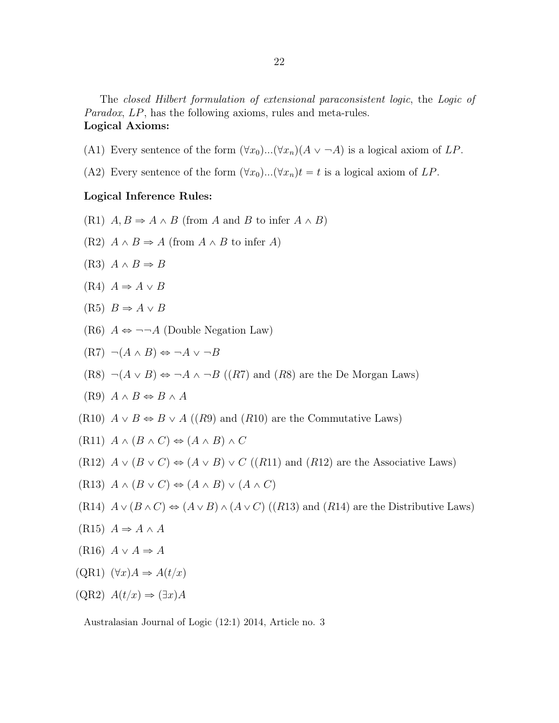The closed Hilbert formulation of extensional paraconsistent logic, the Logic of Paradox, LP, has the following axioms, rules and meta-rules. Logical Axioms:

- (A1) Every sentence of the form  $(\forall x_0) \dots (\forall x_n)(A \vee \neg A)$  is a logical axiom of LP.
- (A2) Every sentence of the form  $(\forall x_0)...\forall x_n)t = t$  is a logical axiom of LP.

#### Logical Inference Rules:

- (R1)  $A, B \Rightarrow A \wedge B$  (from A and B to infer  $A \wedge B$ )
- $(R2)$   $A \wedge B \Rightarrow A$  (from  $A \wedge B$  to infer A)
- $(R3) A \wedge B \Rightarrow B$
- $(R4)$   $A \Rightarrow A \vee B$

$$
(R5) \tB \Rightarrow A \vee B
$$

(R6)  $A \Leftrightarrow \neg \neg A$  (Double Negation Law)

$$
(R7) \neg (A \land B) \Leftrightarrow \neg A \lor \neg B
$$

(R8)  $\neg(A \lor B) \Leftrightarrow \neg A \land \neg B$  ((R7) and (R8) are the De Morgan Laws)

(R9) 
$$
A \wedge B \Leftrightarrow B \wedge A
$$

- (R10)  $A \vee B \Leftrightarrow B \vee A$  ((R9) and (R10) are the Commutative Laws)
- $(R11) A \wedge (B \wedge C) \Leftrightarrow (A \wedge B) \wedge C$
- (R12)  $A \vee (B \vee C) \Leftrightarrow (A \vee B) \vee C$  ((R11) and (R12) are the Associative Laws)
- $(R13) A \wedge (B \vee C) \Leftrightarrow (A \wedge B) \vee (A \wedge C)$
- (R14)  $A \vee (B \wedge C) \Leftrightarrow (A \vee B) \wedge (A \vee C)$  ((R13) and (R14) are the Distributive Laws)
- $(R15)$   $A \Rightarrow A \wedge A$
- $(R16) A \vee A \Rightarrow A$
- $(QR1)$   $(\forall x)A \Rightarrow A(t/x)$

$$
(\text{QR2}) \ \ A(t/x) \Rightarrow (\exists x) A
$$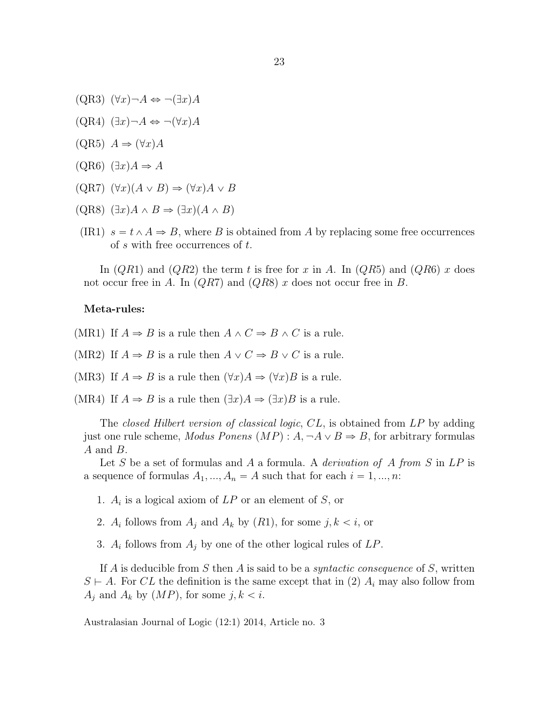- $(QR3)$   $(\forall x) \neg A \Leftrightarrow \neg (\exists x) A$
- $(QR4)$   $(\exists x) \neg A \Leftrightarrow \neg (\forall x) A$
- $(QR5) A \Rightarrow (\forall x)A$
- $(QR6)$   $(\exists x)A \Rightarrow A$
- $(QR7)$   $(\forall x)(A \lor B) \Rightarrow (\forall x)A \lor B$
- $(QR8)$   $(\exists x)A \wedge B \Rightarrow (\exists x)(A \wedge B)$
- (IR1)  $s = t \wedge A \Rightarrow B$ , where B is obtained from A by replacing some free occurrences of s with free occurrences of t.

In  $(QR1)$  and  $(QR2)$  the term t is free for x in A. In  $(QR5)$  and  $(QR6)$  x does not occur free in A. In  $(QR7)$  and  $(QR8)$  x does not occur free in B.

#### Meta-rules:

- (MR1) If  $A \Rightarrow B$  is a rule then  $A \wedge C \Rightarrow B \wedge C$  is a rule.
- (MR2) If  $A \Rightarrow B$  is a rule then  $A \vee C \Rightarrow B \vee C$  is a rule.
- (MR3) If  $A \Rightarrow B$  is a rule then  $(\forall x)A \Rightarrow (\forall x)B$  is a rule.
- (MR4) If  $A \Rightarrow B$  is a rule then  $(\exists x)A \Rightarrow (\exists x)B$  is a rule.

The closed Hilbert version of classical logic, CL, is obtained from LP by adding just one rule scheme, *Modus Ponens*  $(MP) : A, \neg A \lor B \Rightarrow B$ , for arbitrary formulas A and B.

Let S be a set of formulas and A a formula. A *derivation of A from* S in  $LP$  is a sequence of formulas  $A_1, ..., A_n = A$  such that for each  $i = 1, ..., n$ :

- 1.  $A_i$  is a logical axiom of  $LP$  or an element of S, or
- 2.  $A_i$  follows from  $A_j$  and  $A_k$  by  $(R1)$ , for some  $j, k < i$ , or
- 3.  $A_i$  follows from  $A_j$  by one of the other logical rules of  $LP$ .

If A is deducible from S then A is said to be a *syntactic consequence* of S, written  $S \vdash A$ . For CL the definition is the same except that in (2)  $A_i$  may also follow from  $A_j$  and  $A_k$  by  $(MP)$ , for some  $j, k < i$ .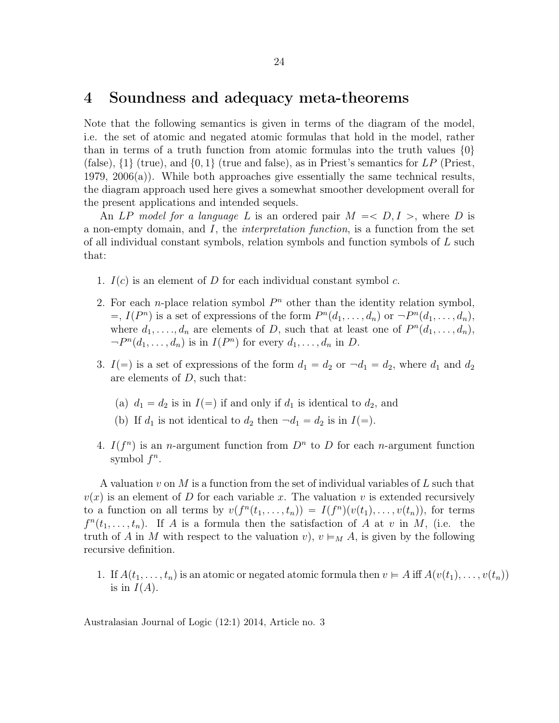#### 4 Soundness and adequacy meta-theorems

Note that the following semantics is given in terms of the diagram of the model, i.e. the set of atomic and negated atomic formulas that hold in the model, rather than in terms of a truth function from atomic formulas into the truth values  $\{0\}$ (false),  $\{1\}$  (true), and  $\{0, 1\}$  (true and false), as in Priest's semantics for LP (Priest, 1979, 2006(a)). While both approaches give essentially the same technical results, the diagram approach used here gives a somewhat smoother development overall for the present applications and intended sequels.

An LP model for a language L is an ordered pair  $M = < D, I >$ , where D is a non-empty domain, and  $I$ , the *interpretation function*, is a function from the set of all individual constant symbols, relation symbols and function symbols of L such that:

- 1.  $I(c)$  is an element of D for each individual constant symbol c.
- 2. For each *n*-place relation symbol  $P<sup>n</sup>$  other than the identity relation symbol,  $=$ ,  $I(P^n)$  is a set of expressions of the form  $P^n(d_1, ..., d_n)$  or  $\neg P^n(d_1, ..., d_n)$ , where  $d_1, \ldots, d_n$  are elements of D, such that at least one of  $P^n(d_1, \ldots, d_n)$ ,  $-P^n(d_1,\ldots,d_n)$  is in  $I(P^n)$  for every  $d_1,\ldots,d_n$  in D.
- 3.  $I(=)$  is a set of expressions of the form  $d_1 = d_2$  or  $\neg d_1 = d_2$ , where  $d_1$  and  $d_2$ are elements of D, such that:
	- (a)  $d_1 = d_2$  is in  $I(=)$  if and only if  $d_1$  is identical to  $d_2$ , and
	- (b) If  $d_1$  is not identical to  $d_2$  then  $\neg d_1 = d_2$  is in  $I(=)$ .
- 4.  $I(f^n)$  is an *n*-argument function from  $D^n$  to D for each *n*-argument function symbol  $f^n$ .

A valuation  $v$  on  $M$  is a function from the set of individual variables of  $L$  such that  $v(x)$  is an element of D for each variable x. The valuation v is extended recursively to a function on all terms by  $v(f^{n}(t_1, \ldots, t_n)) = I(f^{n})(v(t_1), \ldots, v(t_n))$ , for terms  $f^{n}(t_1,\ldots,t_n)$ . If A is a formula then the satisfaction of A at v in M, (i.e. the truth of A in M with respect to the valuation v),  $v \vDash_M A$ , is given by the following recursive definition.

1. If  $A(t_1, \ldots, t_n)$  is an atomic or negated atomic formula then  $v \in A$  iff  $A(v(t_1), \ldots, v(t_n))$ is in  $I(A)$ .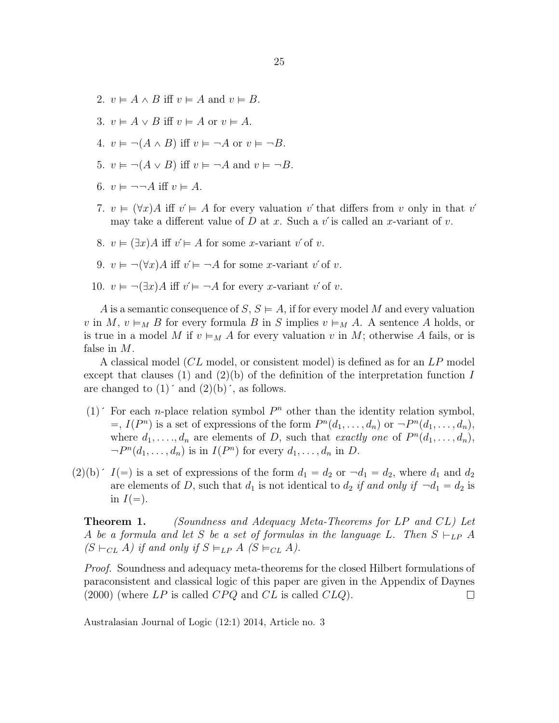- 2.  $v \models A \land B$  iff  $v \models A$  and  $v \models B$ .
- 3.  $v \models A \vee B$  iff  $v \models A$  or  $v \models A$ .
- 4.  $v \models \neg (A \land B)$  iff  $v \models \neg A$  or  $v \models \neg B$ .
- 5.  $v \models \neg (A \lor B)$  iff  $v \models \neg A$  and  $v \models \neg B$ .
- 6.  $v \models \neg \neg A$  iff  $v \models A$ .
- 7.  $v \in (\forall x)A$  iff  $v' \in A$  for every valuation v´ that differs from v only in that v´ may take a different value of D at x. Such a v' is called an x-variant of v.
- 8.  $v \models (\exists x) A$  iff  $v' \models A$  for some x-variant v' of v.
- 9.  $v \models \neg(\forall x)A$  iff  $v' \models \neg A$  for some x-variant v' of v.
- 10.  $v \models \neg (\exists x) A$  iff  $v' \models \neg A$  for every x-variant v' of v.

A is a semantic consequence of S,  $S \vDash A$ , if for every model M and every valuation v in M,  $v \models_M B$  for every formula B in S implies  $v \models_M A$ . A sentence A holds, or is true in a model M if  $v \models_M A$  for every valuation v in M; otherwise A fails, or is false in M.

A classical model (CL model, or consistent model) is defined as for an LP model except that clauses (1) and (2)(b) of the definition of the interpretation function I are changed to  $(1)'$  and  $(2)(b)'$ , as follows.

- (1)  $\checkmark$  For each *n*-place relation symbol  $P^n$  other than the identity relation symbol,  $=$ ,  $I(P^n)$  is a set of expressions of the form  $P^n(d_1, ..., d_n)$  or  $\neg P^n(d_1, ..., d_n)$ , where  $d_1, \ldots, d_n$  are elements of D, such that exactly one of  $P^n(d_1, \ldots, d_n)$ ,  $-P^n(d_1,\ldots,d_n)$  is in  $I(P^n)$  for every  $d_1,\ldots,d_n$  in D.
- $(2)(b)$ <sup> $\cdot$ </sup>  $I(=)$  is a set of expressions of the form  $d_1 = d_2$  or  $\neg d_1 = d_2$ , where  $d_1$  and  $d_2$ are elements of D, such that  $d_1$  is not identical to  $d_2$  if and only if  $-d_1 = d_2$  is in  $I(=)$ .

**Theorem 1.** (Soundness and Adequacy Meta-Theorems for LP and CL) Let A be a formula and let S be a set of formulas in the language L. Then  $S \vdash_{LP} A$  $(S \vdash_{CL} A)$  if and only if  $S \models_{LP} A$   $(S \models_{CL} A)$ .

Proof. Soundness and adequacy meta-theorems for the closed Hilbert formulations of paraconsistent and classical logic of this paper are given in the Appendix of Daynes  $(2000)$  (where LP is called  $CPQ$  and CL is called  $CLQ$ ).  $\Box$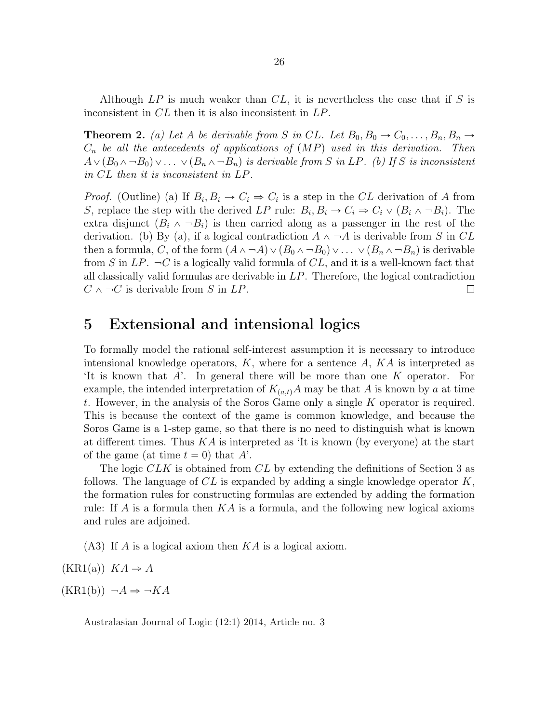Although  $LP$  is much weaker than  $CL$ , it is nevertheless the case that if S is inconsistent in CL then it is also inconsistent in LP.

**Theorem 2.** (a) Let A be derivable from S in CL. Let  $B_0, B_0 \to C_0, \ldots, B_n, B_n \to C_0$  $C_n$  be all the antecedents of applications of  $(MP)$  used in this derivation. Then  $A\vee (B_0\wedge \neg B_0)\vee \ldots \vee (B_n\wedge \neg B_n)$  is derivable from S in LP. (b) If S is inconsistent in CL then it is inconsistent in LP.

*Proof.* (Outline) (a) If  $B_i, B_i \to C_i \Rightarrow C_i$  is a step in the CL derivation of A from S, replace the step with the derived LP rule:  $B_i, B_i \to C_i \to C_i \vee (B_i \wedge \neg B_i)$ . The extra disjunct  $(B_i \wedge \neg B_i)$  is then carried along as a passenger in the rest of the derivation. (b) By (a), if a logical contradiction  $A \wedge \neg A$  is derivable from S in CL then a formula, C, of the form  $(A \wedge \neg A) \vee (B_0 \wedge \neg B_0) \vee \dots \vee (B_n \wedge \neg B_n)$  is derivable from S in  $LP$ .  $\neg C$  is a logically valid formula of CL, and it is a well-known fact that all classically valid formulas are derivable in LP. Therefore, the logical contradiction  $C \wedge \neg C$  is derivable from S in  $LP$ .  $\Box$ 

#### 5 Extensional and intensional logics

To formally model the rational self-interest assumption it is necessary to introduce intensional knowledge operators,  $K$ , where for a sentence  $A$ ,  $KA$  is interpreted as 'It is known that A'. In general there will be more than one K operator. For example, the intended interpretation of  $K_{(a,t)}A$  may be that A is known by a at time t. However, in the analysis of the Soros Game only a single K operator is required. This is because the context of the game is common knowledge, and because the Soros Game is a 1-step game, so that there is no need to distinguish what is known at different times. Thus  $KA$  is interpreted as 'It is known (by everyone) at the start of the game (at time  $t = 0$ ) that A'.

The logic CLK is obtained from CL by extending the definitions of Section 3 as follows. The language of  $CL$  is expanded by adding a single knowledge operator  $K$ , the formation rules for constructing formulas are extended by adding the formation rule: If A is a formula then  $KA$  is a formula, and the following new logical axioms and rules are adjoined.

(A3) If A is a logical axiom then KA is a logical axiom.

 $(KR1(a))$   $KA \Rightarrow A$ 

 $(KR1(b)) \neg A \Rightarrow \neg KA$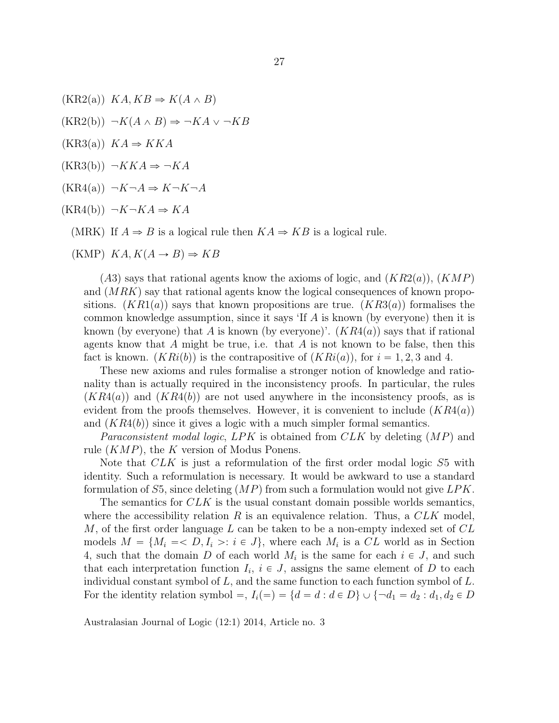$(KR2(a))$   $KA, KB \Rightarrow K(A \wedge B)$  $(KR2(b)) \neg K(A \wedge B) \Rightarrow \neg KA \vee \neg KB$  $(KR3(a))$   $KA \Rightarrow KKA$  $(KR3(b)) \neg KKA \Rightarrow \neg KA$  $(KR4(a)) \neg K \neg A \Rightarrow K \neg K \neg A$  $(KR4(b)) \neg K \neg KA \Rightarrow KA$ (MRK) If  $A \Rightarrow B$  is a logical rule then  $KA \Rightarrow KB$  is a logical rule.

$$
(KMP) \ KA, K(A \to B) \Rightarrow KB
$$

 $(A3)$  says that rational agents know the axioms of logic, and  $(KR2(a)), (KMP)$ and  $(MRK)$  say that rational agents know the logical consequences of known propositions.  $(KR1(a))$  says that known propositions are true.  $(KR3(a))$  formalises the common knowledge assumption, since it says 'If  $A$  is known (by everyone) then it is known (by everyone) that A is known (by everyone)'.  $(KR4(a))$  says that if rational agents know that A might be true, i.e. that A is not known to be false, then this fact is known.  $(KRi(b))$  is the contrapositive of  $(KRi(a))$ , for  $i = 1, 2, 3$  and 4.

These new axioms and rules formalise a stronger notion of knowledge and rationality than is actually required in the inconsistency proofs. In particular, the rules  $(KR4(a))$  and  $(KR4(b))$  are not used anywhere in the inconsistency proofs, as is evident from the proofs themselves. However, it is convenient to include  $(KR4(a))$ and  $(KR4(b))$  since it gives a logic with a much simpler formal semantics.

*Paraconsistent modal logic, LPK* is obtained from  $CLK$  by deleting  $(MP)$  and rule  $(KMP)$ , the K version of Modus Ponens.

Note that CLK is just a reformulation of the first order modal logic S5 with identity. Such a reformulation is necessary. It would be awkward to use a standard formulation of S5, since deleting  $(MP)$  from such a formulation would not give  $LPK$ .

The semantics for CLK is the usual constant domain possible worlds semantics, where the accessibility relation R is an equivalence relation. Thus, a  $CLK$  model, M, of the first order language L can be taken to be a non-empty indexed set of  $CL$ models  $M = \{M_i = L, I_i >: i \in J\}$ , where each  $M_i$  is a CL world as in Section 4, such that the domain D of each world  $M_i$  is the same for each  $i \in J$ , and such that each interpretation function  $I_i$ ,  $i \in J$ , assigns the same element of D to each individual constant symbol of  $L$ , and the same function to each function symbol of  $L$ . For the identity relation symbol =,  $I_i(=) = \{d = d : d \in D\} \cup \{\neg d_1 = d_2 : d_1, d_2 \in D\}$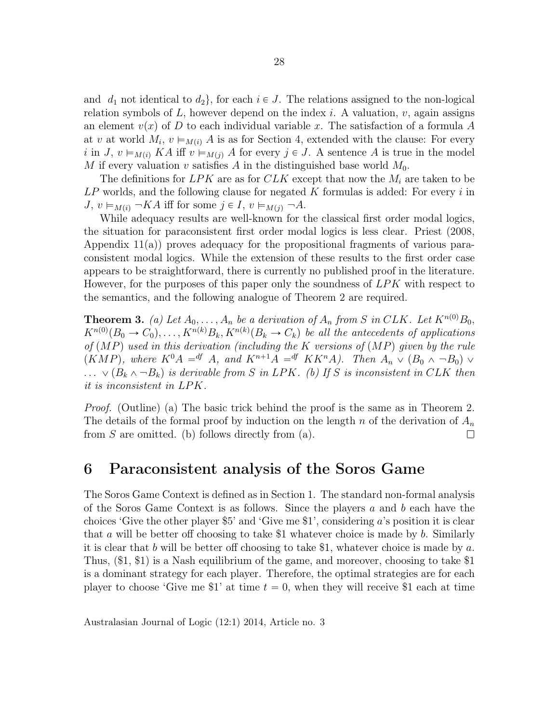and  $d_1$  not identical to  $d_2$ , for each  $i \in J$ . The relations assigned to the non-logical relation symbols of  $L$ , however depend on the index i. A valuation, v, again assigns an element  $v(x)$  of D to each individual variable x. The satisfaction of a formula A at v at world  $M_i$ ,  $v \models_{M(i)} A$  is as for Section 4, extended with the clause: For every i in J,  $v \models_{M(i)} KA$  iff  $v \models_{M(j)} A$  for every  $j \in J$ . A sentence A is true in the model M if every valuation v satisfies A in the distinguished base world  $M_0$ .

The definitions for  $LPK$  are as for  $CLK$  except that now the  $M_i$  are taken to be  $LP$  worlds, and the following clause for negated K formulas is added: For every i in  $J, v \models_{M(i)} \neg KA$  iff for some  $j \in I, v \models_{M(j)} \neg A$ .

While adequacy results are well-known for the classical first order modal logics, the situation for paraconsistent first order modal logics is less clear. Priest (2008, Appendix 11(a)) proves adequacy for the propositional fragments of various paraconsistent modal logics. While the extension of these results to the first order case appears to be straightforward, there is currently no published proof in the literature. However, for the purposes of this paper only the soundness of LPK with respect to the semantics, and the following analogue of Theorem 2 are required.

**Theorem 3.** (a) Let  $A_0, \ldots, A_n$  be a derivation of  $A_n$  from S in CLK. Let  $K^{n(0)}B_0$ ,  $K^{n(0)}(B_0 \to C_0), \ldots, K^{n(k)}B_k, K^{n(k)}(B_k \to C_k)$  be all the antecedents of applications of  $(MP)$  used in this derivation (including the K versions of  $(MP)$  given by the rule  $(KMP)$ , where  $K^0A = f^dA$ , and  $K^{n+1}A = f^dK^{n}A$ . Then  $A_n \vee (B_0 \wedge \neg B_0) \vee$  $\ldots \vee (B_k \wedge \neg B_k)$  is derivable from S in LPK. (b) If S is inconsistent in CLK then it is inconsistent in LPK.

Proof. (Outline) (a) The basic trick behind the proof is the same as in Theorem 2. The details of the formal proof by induction on the length n of the derivation of  $A_n$ from  $S$  are omitted. (b) follows directly from (a).  $\Box$ 

## 6 Paraconsistent analysis of the Soros Game

The Soros Game Context is defined as in Section 1. The standard non-formal analysis of the Soros Game Context is as follows. Since the players  $a$  and  $b$  each have the choices 'Give the other player \$5' and 'Give me \$1', considering a's position it is clear that a will be better off choosing to take \$1 whatever choice is made by b. Similarly it is clear that b will be better off choosing to take \$1, whatever choice is made by  $a$ . Thus, (\$1, \$1) is a Nash equilibrium of the game, and moreover, choosing to take \$1 is a dominant strategy for each player. Therefore, the optimal strategies are for each player to choose 'Give me \$1' at time  $t = 0$ , when they will receive \$1 each at time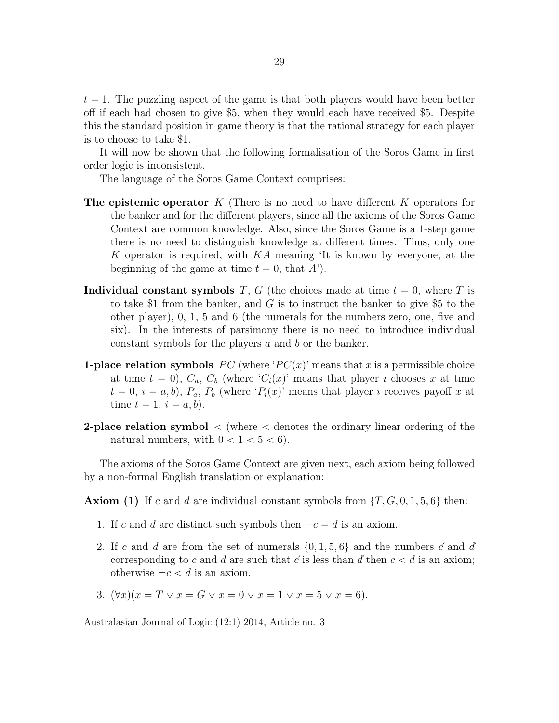$t = 1$ . The puzzling aspect of the game is that both players would have been better off if each had chosen to give \$5, when they would each have received \$5. Despite this the standard position in game theory is that the rational strategy for each player is to choose to take \$1.

It will now be shown that the following formalisation of the Soros Game in first order logic is inconsistent.

The language of the Soros Game Context comprises:

- **The epistemic operator** K (There is no need to have different K operators for the banker and for the different players, since all the axioms of the Soros Game Context are common knowledge. Also, since the Soros Game is a 1-step game there is no need to distinguish knowledge at different times. Thus, only one K operator is required, with  $KA$  meaning 'It is known by everyone, at the beginning of the game at time  $t = 0$ , that A').
- Individual constant symbols T, G (the choices made at time  $t = 0$ , where T is to take \$1 from the banker, and G is to instruct the banker to give \$5 to the other player), 0, 1, 5 and 6 (the numerals for the numbers zero, one, five and six). In the interests of parsimony there is no need to introduce individual constant symbols for the players a and b or the banker.
- **1-place relation symbols**  $PC$  (where  $PC(x)$  means that x is a permissible choice at time  $t = 0$ ,  $C_a$ ,  $C_b$  (where  $C_i(x)$  means that player i chooses x at time  $t = 0, i = a, b$ ,  $P_a$ ,  $P_b$  (where ' $P_i(x)$ ' means that player i receives payoff x at time  $t = 1, i = a, b$ .
- **2-place relation symbol**  $\lt$  (where  $\lt$  denotes the ordinary linear ordering of the natural numbers, with  $0 < 1 < 5 < 6$ .

The axioms of the Soros Game Context are given next, each axiom being followed by a non-formal English translation or explanation:

**Axiom (1)** If c and d are individual constant symbols from  $\{T, G, 0, 1, 5, 6\}$  then:

- 1. If c and d are distinct such symbols then  $-c = d$  is an axiom.
- 2. If c and d are from the set of numerals  $\{0, 1, 5, 6\}$  and the numbers c' and d' corresponding to c and d are such that c' is less than d' then  $c < d$  is an axiom; otherwise  $-c < d$  is an axiom.
- 3.  $(\forall x)(x = T \lor x = G \lor x = 0 \lor x = 1 \lor x = 5 \lor x = 6).$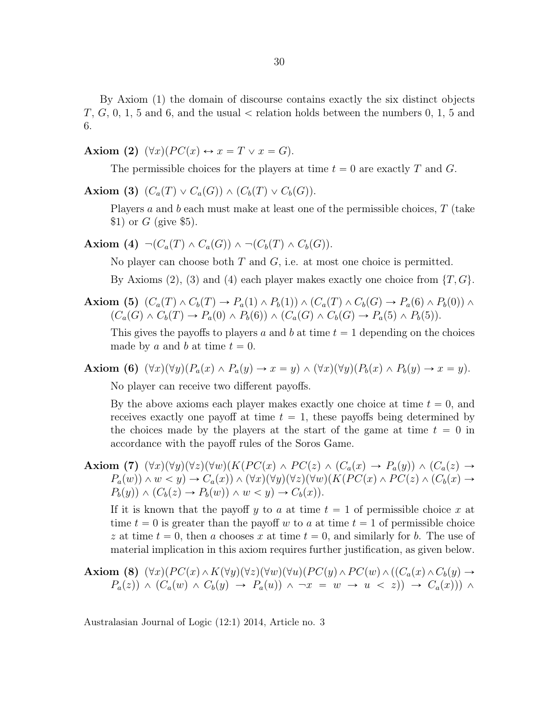By Axiom (1) the domain of discourse contains exactly the six distinct objects  $T, G, 0, 1, 5$  and 6, and the usual  $\lt$  relation holds between the numbers 0, 1, 5 and 6.

Axiom (2)  $(\forall x)(PC(x) \leftrightarrow x = T \lor x = G).$ 

The permissible choices for the players at time  $t = 0$  are exactly T and G.

Axiom (3)  $(C_a(T) \vee C_a(G)) \wedge (C_b(T) \vee C_b(G)).$ 

Players a and b each must make at least one of the permissible choices,  $T$  (take  $$1)$  or G (give \$5).

Axiom (4)  $\neg(C_a(T) \wedge C_a(G)) \wedge \neg(C_b(T) \wedge C_b(G)).$ 

No player can choose both  $T$  and  $G$ , i.e. at most one choice is permitted.

By Axioms (2), (3) and (4) each player makes exactly one choice from  $\{T, G\}$ .

**Axiom (5)**  $(C_a(T) \wedge C_b(T) \rightarrow P_a(1) \wedge P_b(1)) \wedge (C_a(T) \wedge C_b(G) \rightarrow P_a(6) \wedge P_b(0)) \wedge$  $(C_a(G) \wedge C_b(T) \rightarrow P_a(0) \wedge P_b(6)) \wedge (C_a(G) \wedge C_b(G) \rightarrow P_a(5) \wedge P_b(5)).$ 

This gives the payoffs to players a and b at time  $t = 1$  depending on the choices made by a and b at time  $t = 0$ .

**Axiom (6)**  $(\forall x)(\forall y)(P_a(x) \land P_a(y) \rightarrow x = y) \land (\forall x)(\forall y)(P_b(x) \land P_b(y) \rightarrow x = y)$ .

No player can receive two different payoffs.

By the above axioms each player makes exactly one choice at time  $t = 0$ , and receives exactly one payoff at time  $t = 1$ , these payoffs being determined by the choices made by the players at the start of the game at time  $t = 0$  in accordance with the payoff rules of the Soros Game.

Axiom (7)  $(\forall x)(\forall y)(\forall z)(\forall w)(K(P C(x) \land P C(z) \land (C_a(x) \rightarrow P_a(y)) \land (C_a(z) \rightarrow$  $P_a(w)) \wedge w < y$   $\rightarrow$   $C_a(x)) \wedge (\forall x)(\forall y)(\forall z)(\forall w)(K(P C(x) \wedge P C(z) \wedge (C_b(x) \rightarrow$  $P_b(y)$ )  $\land$   $(C_b(z) \rightarrow P_b(w)) \land w < y$ )  $\rightarrow$   $C_b(x)$ .

If it is known that the payoff y to a at time  $t = 1$  of permissible choice x at time  $t = 0$  is greater than the payoff w to a at time  $t = 1$  of permissible choice z at time  $t = 0$ , then a chooses x at time  $t = 0$ , and similarly for b. The use of material implication in this axiom requires further justification, as given below.

**Axiom (8)** 
$$
(\forall x)(PC(x) \wedge K(\forall y)(\forall z)(\forall w)(\forall u)(PC(y) \wedge PC(w) \wedge ((C_a(x) \wedge C_b(y) \rightarrow P_a(z)) \wedge (C_a(w) \wedge C_b(y) \rightarrow P_a(u)) \wedge \neg x = w \rightarrow u \langle z \rangle) \rightarrow C_a(x))
$$
)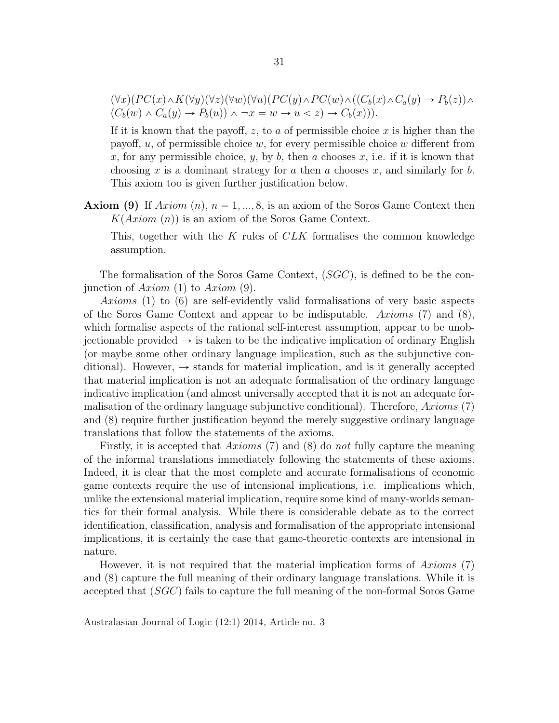$$
(\forall x)(PC(x) \land K(\forall y)(\forall z)(\forall w)(\forall u)(PC(y) \land PC(w) \land ((C_b(x) \land C_a(y) \rightarrow P_b(z)) \land (C_b(w) \land C_a(y) \rightarrow P_b(u)) \land \neg x = w \rightarrow u < z) \rightarrow C_b(x))).
$$

If it is known that the payoff, z, to a of permissible choice x is higher than the payoff,  $u$ , of permissible choice  $w$ , for every permissible choice  $w$  different from x, for any permissible choice, y, by b, then a chooses x, i.e. if it is known that choosing x is a dominant strategy for a then a chooses x, and similarly for b. This axiom too is given further justification below.

**Axiom (9)** If  $Axiom(n)$ ,  $n = 1, ..., 8$ , is an axiom of the Soros Game Context then  $K(Axiom(n))$  is an axiom of the Soros Game Context.

This, together with the  $K$  rules of  $CLK$  formalises the common knowledge assumption.

The formalisation of the Soros Game Context,  $(SGC)$ , is defined to be the conjunction of Axiom (1) to Axiom (9).

Axioms (1) to  $(6)$  are self-evidently valid formalisations of very basic aspects of the Soros Game Context and appear to be indisputable. Axioms (7) and (8), which formalise aspects of the rational self-interest assumption, appear to be unobjectionable provided  $\rightarrow$  is taken to be the indicative implication of ordinary English (or maybe some other ordinary language implication, such as the subjunctive conditional). However,  $\rightarrow$  stands for material implication, and is it generally accepted that material implication is not an adequate formalisation of the ordinary language indicative implication (and almost universally accepted that it is not an adequate formalisation of the ordinary language subjunctive conditional). Therefore,  $Axioms(7)$ and (8) require further justification beyond the merely suggestive ordinary language translations that follow the statements of the axioms.

Firstly, it is accepted that Axioms (7) and (8) do not fully capture the meaning of the informal translations immediately following the statements of these axioms. Indeed, it is clear that the most complete and accurate formalisations of economic game contexts require the use of intensional implications, i.e. implications which, unlike the extensional material implication, require some kind of many-worlds semantics for their formal analysis. While there is considerable debate as to the correct identification, classification, analysis and formalisation of the appropriate intensional implications, it is certainly the case that game-theoretic contexts are intensional in nature.

However, it is not required that the material implication forms of Axioms  $(7)$ and  $(8)$  capture the full meaning of their ordinary language translations. While it is accepted that  $(SGC)$  fails to capture the full meaning of the non-formal Soros Game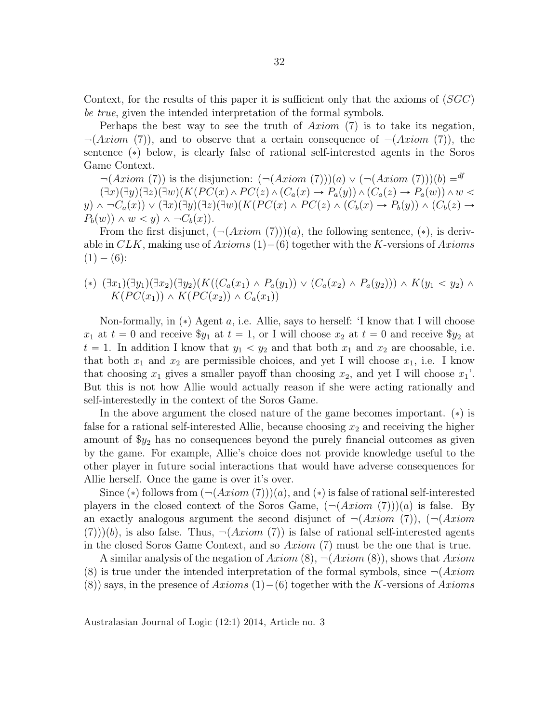Context, for the results of this paper it is sufficient only that the axioms of  $(SGC)$ be true, given the intended interpretation of the formal symbols.

Perhaps the best way to see the truth of  $Axiom$  (7) is to take its negation,  $\neg(Axiom (7))$ , and to observe that a certain consequence of  $\neg(Axiom (7))$ , the sentence  $(*)$  below, is clearly false of rational self-interested agents in the Soros Game Context.

 $\neg (Axiom (7))$  is the disjunction:  $(\neg (Axiom (7)))(a) \lor (\neg (Axiom (7)))(b) =$ <sup>df</sup>  $\Gamma(\exists x)(\exists y)(\exists z)(\exists w)(K(P C(x) \wedge P C(z) \wedge (C_a(x) \rightarrow P_a(y)) \wedge (C_a(z) \rightarrow P_a(w)) \wedge w$  $y\rightarrow \neg C_a(x)\rightarrow \neg C_a(x)\rightarrow \exists x)\exists y\rightarrow \exists x\rightarrow (K(P C(x) \wedge P C(z) \wedge (C_b(x) \rightarrow P_b(y)) \wedge (C_b(z) \rightarrow$  $P_b(w)$   $\wedge$   $w < y$   $\wedge \neg C_b(x)$ .

From the first disjunct,  $(\neg (Axiom (7))(a)$ , the following sentence,  $(*)$ , is derivable in  $CLK$ , making use of  $Axioms(1) - (6)$  together with the K-versions of  $Axioms$  $(1) - (6)$ :

$$
(*) (\exists x_1)(\exists y_1)(\exists x_2)(\exists y_2)(K((C_a(x_1) \land P_a(y_1)) \lor (C_a(x_2) \land P_a(y_2))) \land K(y_1 < y_2) \land K(PC(x_1)) \land K(PC(x_2)) \land C_a(x_1))
$$

Non-formally, in  $(*)$  Agent a, i.e. Allie, says to herself: 'I know that I will choose  $x_1$  at  $t = 0$  and receive  $y_1$  at  $t = 1$ , or I will choose  $x_2$  at  $t = 0$  and receive  $y_2$  at  $t = 1$ . In addition I know that  $y_1 < y_2$  and that both  $x_1$  and  $x_2$  are choosable, i.e. that both  $x_1$  and  $x_2$  are permissible choices, and yet I will choose  $x_1$ , i.e. I know that choosing  $x_1$  gives a smaller payoff than choosing  $x_2$ , and yet I will choose  $x_1'$ . But this is not how Allie would actually reason if she were acting rationally and self-interestedly in the context of the Soros Game.

In the above argument the closed nature of the game becomes important.  $(*)$  is false for a rational self-interested Allie, because choosing  $x_2$  and receiving the higher amount of  $y_2$  has no consequences beyond the purely financial outcomes as given by the game. For example, Allie's choice does not provide knowledge useful to the other player in future social interactions that would have adverse consequences for Allie herself. Once the game is over it's over.

Since (\*) follows from  $(\neg (Axiom (7)))(a)$ , and (\*) is false of rational self-interested players in the closed context of the Soros Game,  $(\neg (Axiom (7)))(a)$  is false. By an exactly analogous argument the second disjunct of  $\neg (Axiom (7))$ ,  $\neg (Axiom$  $p(7)$ )(b), is also false. Thus,  $\neg(Axiom (7))$  is false of rational self-interested agents in the closed Soros Game Context, and so  $Axiom(7)$  must be the one that is true.

A similar analysis of the negation of  $Axiom(8), \neg(Axiom(8))$ , shows that  $Axiom$ (8) is true under the intended interpretation of the formal symbols, since  $\neg (Axiom$ (8)) says, in the presence of  $Axioms(1) - (6)$  together with the K-versions of  $Axioms$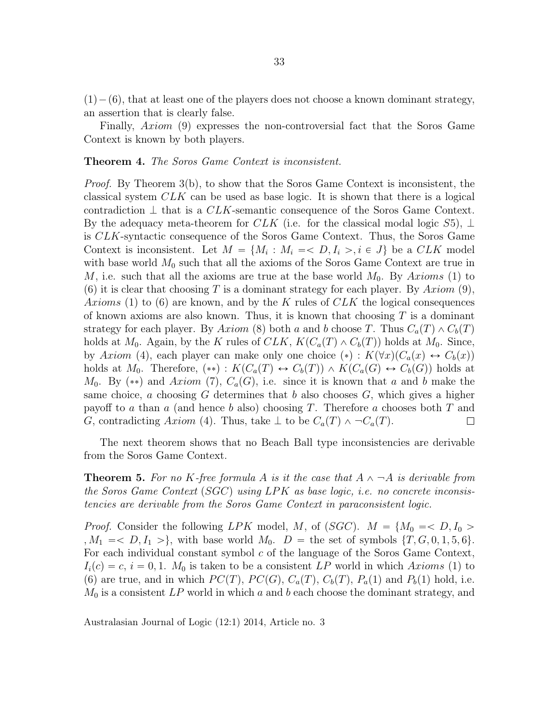$p(1) - (6)$ , that at least one of the players does not choose a known dominant strategy, an assertion that is clearly false.

Finally,  $Axiom$  (9) expresses the non-controversial fact that the Soros Game Context is known by both players.

#### Theorem 4. The Soros Game Context is inconsistent.

Proof. By Theorem 3(b), to show that the Soros Game Context is inconsistent, the classical system CLK can be used as base logic. It is shown that there is a logical contradiction  $\perp$  that is a *CLK*-semantic consequence of the Soros Game Context. By the adequacy meta-theorem for CLK (i.e. for the classical modal logic  $S5$ ),  $\perp$ is CLK-syntactic consequence of the Soros Game Context. Thus, the Soros Game Context is inconsistent. Let  $M = \{M_i : M_i = \langle D, I_i \rangle, i \in J\}$  be a CLK model with base world  $M_0$  such that all the axioms of the Soros Game Context are true in M, i.e. such that all the axioms are true at the base world  $M_0$ . By Axioms (1) to (6) it is clear that choosing T is a dominant strategy for each player. By  $Axiom (9)$ , Axioms (1) to (6) are known, and by the K rules of  $CLK$  the logical consequences of known axioms are also known. Thus, it is known that choosing  $T$  is a dominant strategy for each player. By Axiom (8) both a and b choose T. Thus  $C_a(T) \wedge C_b(T)$ holds at  $M_0$ . Again, by the K rules of  $CLK$ ,  $K(C_a(T) \wedge C_b(T))$  holds at  $M_0$ . Since, by Axiom (4), each player can make only one choice  $(*)$ :  $K(\forall x)(C_a(x) \leftrightarrow C_b(x))$ holds at  $M_0$ . Therefore,  $(**) : K(C_a(T) \leftrightarrow C_b(T)) \wedge K(C_a(G) \leftrightarrow C_b(G))$  holds at  $M_0$ . By (\*\*) and Axiom (7),  $C_a(G)$ , i.e. since it is known that a and b make the same choice, a choosing G determines that b also chooses  $G$ , which gives a higher payoff to a than a (and hence b also) choosing T. Therefore a chooses both T and G, contradicting Axiom (4). Thus, take  $\perp$  to be  $C_a(T) \wedge \neg C_a(T)$ .  $\Box$ 

The next theorem shows that no Beach Ball type inconsistencies are derivable from the Soros Game Context.

**Theorem 5.** For no K-free formula A is it the case that  $A \wedge \neg A$  is derivable from the Soros Game Context (SGC) using LPK as base logic, i.e. no concrete inconsistencies are derivable from the Soros Game Context in paraconsistent logic.

*Proof.* Consider the following LPK model, M, of (SGC).  $M = \{M_0 = D, I_0 > I_0\}$ ,  $M_1 = \langle D, I_1 \rangle$ , with base world  $M_0$ .  $D =$  the set of symbols  $\{T, G, 0, 1, 5, 6\}$ . For each individual constant symbol  $c$  of the language of the Soros Game Context,  $I_i(c) = c$ ,  $i = 0, 1$ .  $M_0$  is taken to be a consistent LP world in which Axioms (1) to (6) are true, and in which  $PC(T)$ ,  $PC(G)$ ,  $C_a(T)$ ,  $C_b(T)$ ,  $P_a(1)$  and  $P_b(1)$  hold, i.e.  $M_0$  is a consistent LP world in which a and b each choose the dominant strategy, and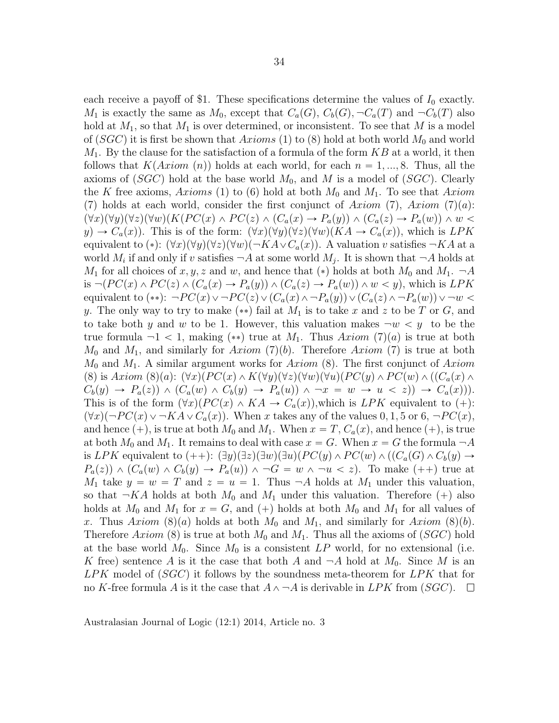each receive a payoff of \$1. These specifications determine the values of  $I_0$  exactly.  $M_1$  is exactly the same as  $M_0$ , except that  $C_a(G)$ ,  $C_b(G)$ ,  $\neg C_a(T)$  and  $\neg C_b(T)$  also hold at  $M_1$ , so that  $M_1$  is over determined, or inconsistent. To see that M is a model of  $(SGC)$  it is first be shown that Axioms (1) to (8) hold at both world  $M_0$  and world  $M_1$ . By the clause for the satisfaction of a formula of the form  $KB$  at a world, it then follows that  $K(Axiom (n))$  holds at each world, for each  $n = 1, ..., 8$ . Thus, all the axioms of  $(SGC)$  hold at the base world  $M_0$ , and M is a model of  $(SGC)$ . Clearly the K free axioms, Axioms (1) to (6) hold at both  $M_0$  and  $M_1$ . To see that Axiom (7) holds at each world, consider the first conjunct of Axiom (7), Axiom (7)(a):  $p(x\gamma)(\forall y)(\forall z)(\forall w)(K(P C(x) \wedge P C(z) \wedge (C_a(x) \rightarrow P_a(y)) \wedge (C_a(z) \rightarrow P_a(w)) \wedge w$  $y\to C_a(x)$ . This is of the form:  $(\forall x)(\forall y)(\forall z)(\forall w)(KA \to C_a(x))$ , which is LPK equivalent to (\*):  $(\forall x)(\forall y)(\forall z)(\forall w)(\neg K A \lor C_a(x))$ . A valuation v satisfies  $\neg K A$  at a world  $M_i$  if and only if v satisfies  $\neg A$  at some world  $M_j$ . It is shown that  $\neg A$  holds at  $M_1$  for all choices of x, y, z and w, and hence that (\*) holds at both  $M_0$  and  $M_1$ .  $\neg A$ is  $\neg (PC(x) \wedge PC(z) \wedge (C_a(x) \rightarrow P_a(y)) \wedge (C_a(z) \rightarrow P_a(w)) \wedge w \langle y\rangle$ , which is LPK equivalent to (\*\*):  $\neg PC(x) \vee \neg PC(z) \vee (C_a(x) \wedge \neg P_a(y)) \vee (C_a(z) \wedge \neg P_a(w)) \vee \neg w$ y. The only way to try to make  $(**)$  fail at  $M_1$  is to take x and z to be T or G, and to take both y and w to be 1. However, this valuation makes  $-w < y$  to be the true formula  $-1 < 1$ , making (\*\*) true at  $M_1$ . Thus  $Axiom (7)(a)$  is true at both  $M_0$  and  $M_1$ , and similarly for Axiom (7)(b). Therefore Axiom (7) is true at both  $M_0$  and  $M_1$ . A similar argument works for Axiom (8). The first conjunct of Axiom (8) is Axiom (8)(a):  $(\forall x)(PC(x) \wedge K(\forall y)(\forall z)(\forall w)(\forall u)(PC(y) \wedge PC(w) \wedge ((C_a(x) \wedge$  $C_b(y) \rightarrow P_a(z)$   $\wedge$   $(C_a(w) \wedge C_b(y) \rightarrow P_a(u)) \wedge \neg x = w \rightarrow u \langle z \rangle$   $\rightarrow$   $C_a(x)$ . This is of the form  $(\forall x)(PC(x) \land KA \rightarrow C_a(x))$ , which is LPK equivalent to  $(+)$ :  $(\forall x)(\neg PC(x) \vee \neg KA \vee C_a(x))$ . When x takes any of the values 0, 1, 5 or 6,  $\neg PC(x)$ , and hence  $(+)$ , is true at both  $M_0$  and  $M_1$ . When  $x = T, C_a(x)$ , and hence  $(+)$ , is true at both  $M_0$  and  $M_1$ . It remains to deal with case  $x = G$ . When  $x = G$  the formula  $\neg A$ is LPK equivalent to  $(+)$ :  $(\exists y)(\exists z)(\exists w)(\exists u)(PC(y) \wedge PC(w) \wedge ((C_a(G) \wedge C_b(y) \rightarrow$  $P_a(z)$   $\wedge$   $(C_a(w) \wedge C_b(y) \rightarrow P_a(u)) \wedge \neg G = w \wedge \neg u \langle z \rangle$ . To make  $(++)$  true at  $M_1$  take  $y = w = T$  and  $z = u = 1$ . Thus  $\neg A$  holds at  $M_1$  under this valuation, so that  $\neg K A$  holds at both  $M_0$  and  $M_1$  under this valuation. Therefore  $(+)$  also holds at  $M_0$  and  $M_1$  for  $x = G$ , and  $(+)$  holds at both  $M_0$  and  $M_1$  for all values of x. Thus Axiom (8)(a) holds at both  $M_0$  and  $M_1$ , and similarly for Axiom (8)(b). Therefore Axiom (8) is true at both  $M_0$  and  $M_1$ . Thus all the axioms of (SGC) hold at the base world  $M_0$ . Since  $M_0$  is a consistent  $LP$  world, for no extensional (i.e. K free) sentence A is it the case that both A and  $\neg A$  hold at  $M_0$ . Since M is an  $LPK$  model of  $(SGC)$  it follows by the soundness meta-theorem for  $LPK$  that for no K-free formula A is it the case that  $A \wedge \neg A$  is derivable in LPK from  $(SGC)$ .  $\Box$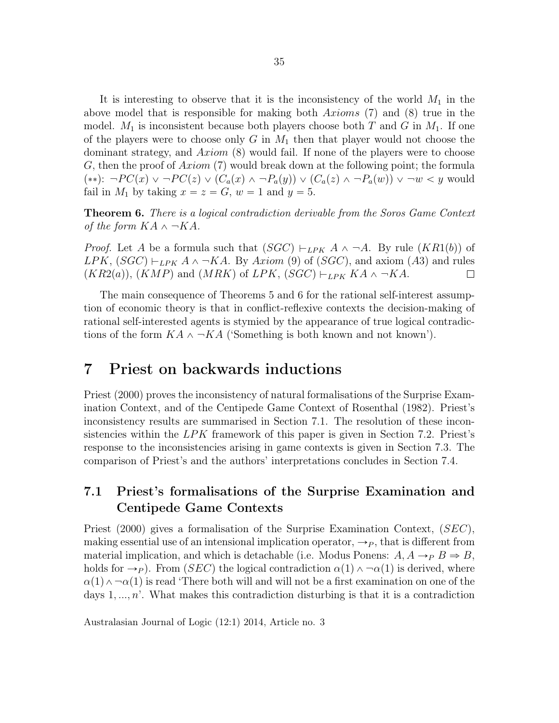It is interesting to observe that it is the inconsistency of the world  $M_1$  in the above model that is responsible for making both  $Axioms$  (7) and (8) true in the model.  $M_1$  is inconsistent because both players choose both T and G in  $M_1$ . If one of the players were to choose only  $G$  in  $M_1$  then that player would not choose the dominant strategy, and  $Axiom$  (8) would fail. If none of the players were to choose G, then the proof of  $Axiom$  (7) would break down at the following point; the formula  $(**): \neg PC(x) \vee \neg PC(z) \vee (C_a(x) \wedge \neg P_a(y)) \vee (C_a(z) \wedge \neg P_a(w)) \vee \neg w < y$  would fail in  $M_1$  by taking  $x = z = G$ ,  $w = 1$  and  $y = 5$ .

Theorem 6. There is a logical contradiction derivable from the Soros Game Context of the form  $KA \wedge \neg KA$ .

*Proof.* Let A be a formula such that  $(SGC) \vdash_{LPK} A \land \neg A$ . By rule  $(KR1(b))$  of LPK,  $(SGC) \vdash_{LPK} A \land \neg KA$ . By Axiom (9) of  $(SGC)$ , and axiom (A3) and rules  $(KR2(a)), (KMP)$  and  $(MRK)$  of LPK,  $(SGC) \vdash_{LPK} KA \land \neg KA$ .  $\Box$ 

The main consequence of Theorems 5 and 6 for the rational self-interest assumption of economic theory is that in conflict-reflexive contexts the decision-making of rational self-interested agents is stymied by the appearance of true logical contradictions of the form  $KA \wedge \neg KA$  ('Something is both known and not known').

## 7 Priest on backwards inductions

Priest (2000) proves the inconsistency of natural formalisations of the Surprise Examination Context, and of the Centipede Game Context of Rosenthal (1982). Priest's inconsistency results are summarised in Section 7.1. The resolution of these inconsistencies within the  $LPK$  framework of this paper is given in Section 7.2. Priest's response to the inconsistencies arising in game contexts is given in Section 7.3. The comparison of Priest's and the authors' interpretations concludes in Section 7.4.

#### 7.1 Priest's formalisations of the Surprise Examination and Centipede Game Contexts

Priest (2000) gives a formalisation of the Surprise Examination Context,  $(SEC)$ , making essential use of an intensional implication operator,  $\rightarrow P$ , that is different from material implication, and which is detachable (i.e. Modus Ponens:  $A, A \rightarrow_{P} B \Rightarrow B,$ holds for  $\rightarrow_P$ ). From (*SEC*) the logical contradiction  $\alpha(1)\wedge \alpha(1)$  is derived, where  $\alpha(1) \wedge \neg \alpha(1)$  is read 'There both will and will not be a first examination on one of the days  $1, \ldots, n'$ . What makes this contradiction disturbing is that it is a contradiction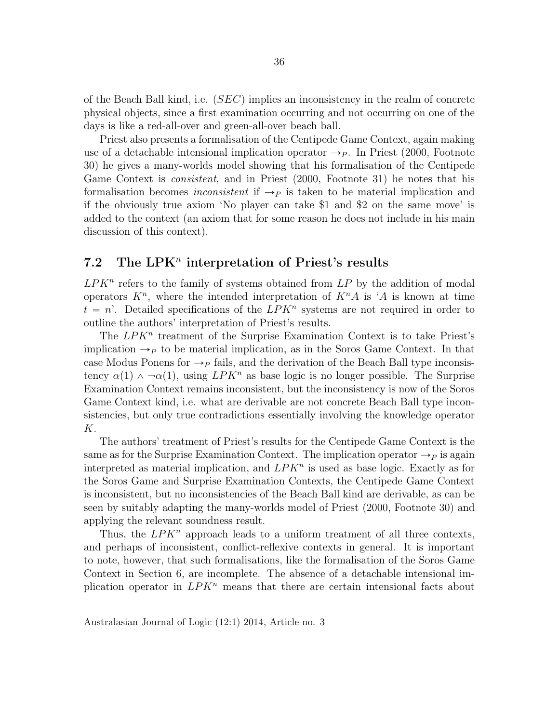of the Beach Ball kind, i.e.  $(SEC)$  implies an inconsistency in the realm of concrete physical objects, since a first examination occurring and not occurring on one of the days is like a red-all-over and green-all-over beach ball.

Priest also presents a formalisation of the Centipede Game Context, again making use of a detachable intensional implication operator  $\rightarrow_P$ . In Priest (2000, Footnote 30) he gives a many-worlds model showing that his formalisation of the Centipede Game Context is consistent, and in Priest (2000, Footnote 31) he notes that his formalisation becomes *inconsistent* if  $\rightarrow_P$  is taken to be material implication and if the obviously true axiom 'No player can take \$1 and \$2 on the same move' is added to the context (an axiom that for some reason he does not include in his main discussion of this context).

## 7.2 The LPK<sup>n</sup> interpretation of Priest's results

 $LPK<sup>n</sup>$  refers to the family of systems obtained from  $LP$  by the addition of modal operators  $K^n$ , where the intended interpretation of  $K^n A$  is 'A is known at time  $t = n'$ . Detailed specifications of the  $LPK^n$  systems are not required in order to outline the authors' interpretation of Priest's results.

The  $LPK^n$  treatment of the Surprise Examination Context is to take Priest's implication  $\rightarrow_P$  to be material implication, as in the Soros Game Context. In that case Modus Ponens for  $\rightarrow$  p fails, and the derivation of the Beach Ball type inconsistency  $\alpha(1) \wedge \neg \alpha(1)$ , using  $LPK^n$  as base logic is no longer possible. The Surprise Examination Context remains inconsistent, but the inconsistency is now of the Soros Game Context kind, i.e. what are derivable are not concrete Beach Ball type inconsistencies, but only true contradictions essentially involving the knowledge operator K.

The authors' treatment of Priest's results for the Centipede Game Context is the same as for the Surprise Examination Context. The implication operator  $\rightarrow_P$  is again interpreted as material implication, and  $LPK<sup>n</sup>$  is used as base logic. Exactly as for the Soros Game and Surprise Examination Contexts, the Centipede Game Context is inconsistent, but no inconsistencies of the Beach Ball kind are derivable, as can be seen by suitably adapting the many-worlds model of Priest (2000, Footnote 30) and applying the relevant soundness result.

Thus, the  $LPK^n$  approach leads to a uniform treatment of all three contexts, and perhaps of inconsistent, conflict-reflexive contexts in general. It is important to note, however, that such formalisations, like the formalisation of the Soros Game Context in Section 6, are incomplete. The absence of a detachable intensional implication operator in  $LPK^n$  means that there are certain intensional facts about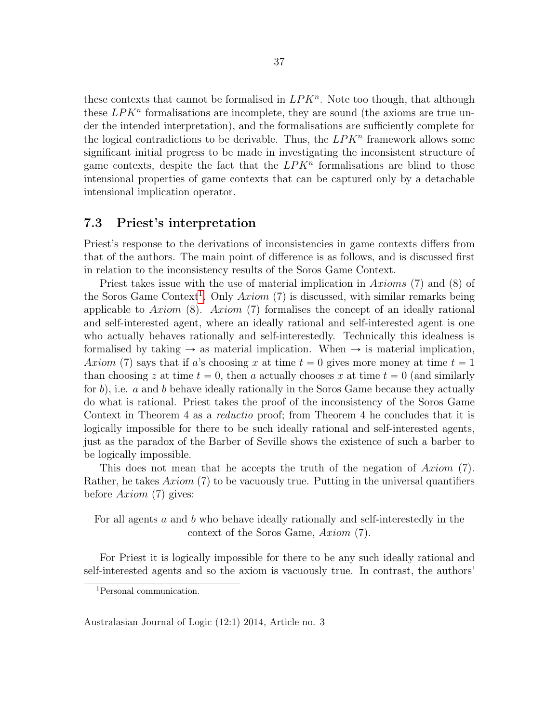these contexts that cannot be formalised in  $LPK^n$ . Note too though, that although these  $LPK<sup>n</sup>$  formalisations are incomplete, they are sound (the axioms are true under the intended interpretation), and the formalisations are sufficiently complete for the logical contradictions to be derivable. Thus, the  $LPK<sup>n</sup>$  framework allows some significant initial progress to be made in investigating the inconsistent structure of game contexts, despite the fact that the  $LPK^n$  formalisations are blind to those intensional properties of game contexts that can be captured only by a detachable intensional implication operator.

#### 7.3 Priest's interpretation

Priest's response to the derivations of inconsistencies in game contexts differs from that of the authors. The main point of difference is as follows, and is discussed first in relation to the inconsistency results of the Soros Game Context.

Priest takes issue with the use of material implication in Axioms (7) and (8) of the Soros Game Context<sup>[1](#page-21-0)</sup>. Only  $Axiom$  (7) is discussed, with similar remarks being applicable to Axiom  $(8)$ . Axiom  $(7)$  formalises the concept of an ideally rational and self-interested agent, where an ideally rational and self-interested agent is one who actually behaves rationally and self-interestedly. Technically this idealness is formalised by taking  $\rightarrow$  as material implication. When  $\rightarrow$  is material implication, Axiom (7) says that if a's choosing x at time  $t = 0$  gives more money at time  $t = 1$ than choosing z at time  $t = 0$ , then a actually chooses x at time  $t = 0$  (and similarly for  $b$ ), i.e. a and b behave ideally rationally in the Soros Game because they actually do what is rational. Priest takes the proof of the inconsistency of the Soros Game Context in Theorem 4 as a *reductio* proof; from Theorem 4 he concludes that it is logically impossible for there to be such ideally rational and self-interested agents, just as the paradox of the Barber of Seville shows the existence of such a barber to be logically impossible.

This does not mean that he accepts the truth of the negation of  $Axiom$  (7). Rather, he takes  $Axiom(7)$  to be vacuously true. Putting in the universal quantifiers before  $Axiom(7)$  gives:

For all agents a and b who behave ideally rationally and self-interestedly in the context of the Soros Game,  $Axiom(7)$ .

For Priest it is logically impossible for there to be any such ideally rational and self-interested agents and so the axiom is vacuously true. In contrast, the authors'

<span id="page-21-0"></span><sup>1</sup>Personal communication.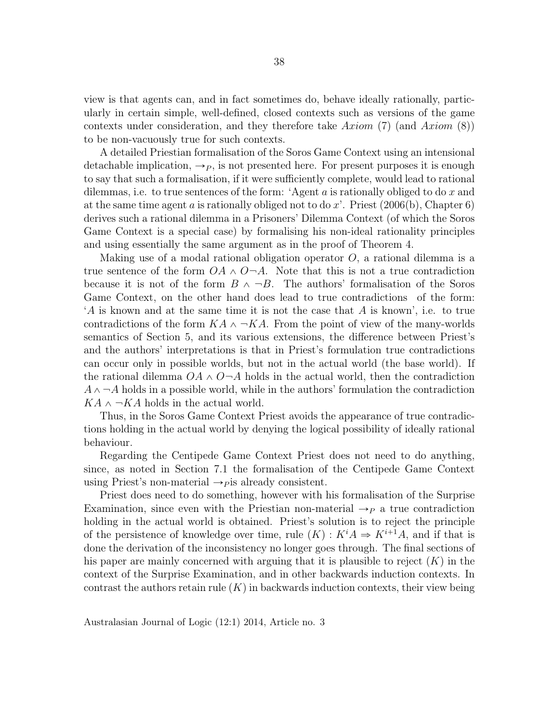view is that agents can, and in fact sometimes do, behave ideally rationally, particularly in certain simple, well-defined, closed contexts such as versions of the game contexts under consideration, and they therefore take Axiom (7) (and Axiom  $(8)$ ) to be non-vacuously true for such contexts.

A detailed Priestian formalisation of the Soros Game Context using an intensional detachable implication,  $\rightarrow P$ , is not presented here. For present purposes it is enough to say that such a formalisation, if it were sufficiently complete, would lead to rational dilemmas, i.e. to true sentences of the form: 'Agent  $a$  is rationally obliged to do  $x$  and at the same time agent a is rationally obliged not to do x'. Priest  $(2006(b),$  Chapter 6) derives such a rational dilemma in a Prisoners' Dilemma Context (of which the Soros Game Context is a special case) by formalising his non-ideal rationality principles and using essentially the same argument as in the proof of Theorem 4.

Making use of a modal rational obligation operator  $O$ , a rational dilemma is a true sentence of the form  $OA \wedge O \neg A$ . Note that this is not a true contradiction because it is not of the form  $B \wedge \neg B$ . The authors' formalisation of the Soros Game Context, on the other hand does lead to true contradictions of the form: 'A is known and at the same time it is not the case that A is known', i.e. to true contradictions of the form  $KA \wedge \neg KA$ . From the point of view of the many-worlds semantics of Section 5, and its various extensions, the difference between Priest's and the authors' interpretations is that in Priest's formulation true contradictions can occur only in possible worlds, but not in the actual world (the base world). If the rational dilemma  $OA \wedge O \neg A$  holds in the actual world, then the contradiction  $A \wedge \neg A$  holds in a possible world, while in the authors' formulation the contradiction  $KA \wedge \neg KA$  holds in the actual world.

Thus, in the Soros Game Context Priest avoids the appearance of true contradictions holding in the actual world by denying the logical possibility of ideally rational behaviour.

Regarding the Centipede Game Context Priest does not need to do anything, since, as noted in Section 7.1 the formalisation of the Centipede Game Context using Priest's non-material  $\rightarrow$  *p* is already consistent.

Priest does need to do something, however with his formalisation of the Surprise Examination, since even with the Priestian non-material  $\rightarrow_P$  a true contradiction holding in the actual world is obtained. Priest's solution is to reject the principle of the persistence of knowledge over time, rule  $(K) : K^i A \Rightarrow K^{i+1}A$ , and if that is done the derivation of the inconsistency no longer goes through. The final sections of his paper are mainly concerned with arguing that it is plausible to reject  $(K)$  in the context of the Surprise Examination, and in other backwards induction contexts. In contrast the authors retain rule  $(K)$  in backwards induction contexts, their view being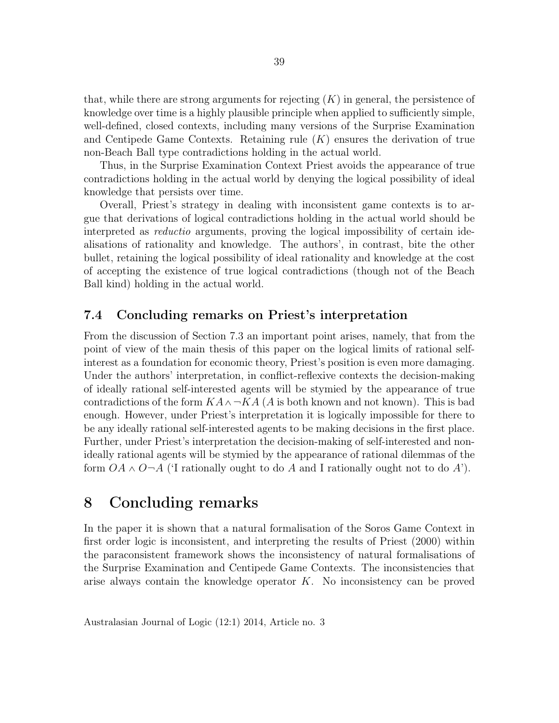that, while there are strong arguments for rejecting  $(K)$  in general, the persistence of knowledge over time is a highly plausible principle when applied to sufficiently simple, well-defined, closed contexts, including many versions of the Surprise Examination and Centipede Game Contexts. Retaining rule  $(K)$  ensures the derivation of true non-Beach Ball type contradictions holding in the actual world.

Thus, in the Surprise Examination Context Priest avoids the appearance of true contradictions holding in the actual world by denying the logical possibility of ideal knowledge that persists over time.

Overall, Priest's strategy in dealing with inconsistent game contexts is to argue that derivations of logical contradictions holding in the actual world should be interpreted as reductio arguments, proving the logical impossibility of certain idealisations of rationality and knowledge. The authors', in contrast, bite the other bullet, retaining the logical possibility of ideal rationality and knowledge at the cost of accepting the existence of true logical contradictions (though not of the Beach Ball kind) holding in the actual world.

#### 7.4 Concluding remarks on Priest's interpretation

From the discussion of Section 7.3 an important point arises, namely, that from the point of view of the main thesis of this paper on the logical limits of rational selfinterest as a foundation for economic theory, Priest's position is even more damaging. Under the authors' interpretation, in conflict-reflexive contexts the decision-making of ideally rational self-interested agents will be stymied by the appearance of true contradictions of the form  $KA \wedge \neg KA$  (A is both known and not known). This is bad enough. However, under Priest's interpretation it is logically impossible for there to be any ideally rational self-interested agents to be making decisions in the first place. Further, under Priest's interpretation the decision-making of self-interested and nonideally rational agents will be stymied by the appearance of rational dilemmas of the form  $OA \wedge O \neg A$  (I rationally ought to do A and I rationally ought not to do A').

## 8 Concluding remarks

In the paper it is shown that a natural formalisation of the Soros Game Context in first order logic is inconsistent, and interpreting the results of Priest (2000) within the paraconsistent framework shows the inconsistency of natural formalisations of the Surprise Examination and Centipede Game Contexts. The inconsistencies that arise always contain the knowledge operator  $K$ . No inconsistency can be proved

39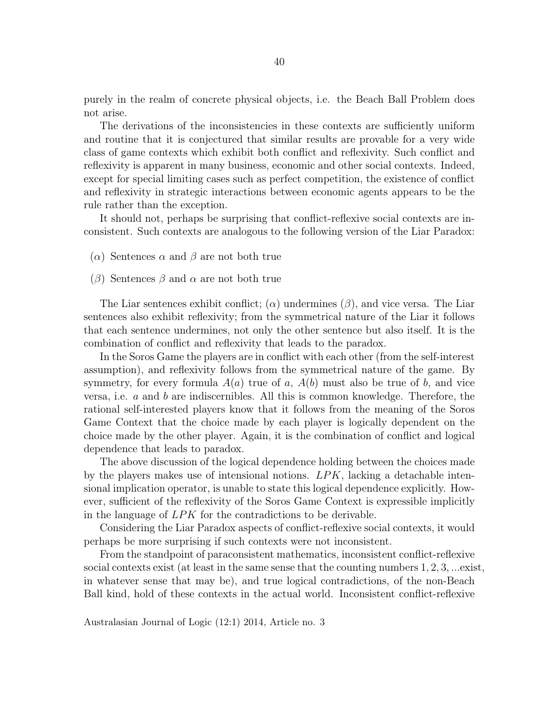purely in the realm of concrete physical objects, i.e. the Beach Ball Problem does not arise.

The derivations of the inconsistencies in these contexts are sufficiently uniform and routine that it is conjectured that similar results are provable for a very wide class of game contexts which exhibit both conflict and reflexivity. Such conflict and reflexivity is apparent in many business, economic and other social contexts. Indeed, except for special limiting cases such as perfect competition, the existence of conflict and reflexivity in strategic interactions between economic agents appears to be the rule rather than the exception.

It should not, perhaps be surprising that conflict-reflexive social contexts are inconsistent. Such contexts are analogous to the following version of the Liar Paradox:

- (α) Sentences  $\alpha$  and  $\beta$  are not both true
- (β) Sentences β and  $\alpha$  are not both true

The Liar sentences exhibit conflict; ( $\alpha$ ) undermines ( $\beta$ ), and vice versa. The Liar sentences also exhibit reflexivity; from the symmetrical nature of the Liar it follows that each sentence undermines, not only the other sentence but also itself. It is the combination of conflict and reflexivity that leads to the paradox.

In the Soros Game the players are in conflict with each other (from the self-interest assumption), and reflexivity follows from the symmetrical nature of the game. By symmetry, for every formula  $A(a)$  true of a,  $A(b)$  must also be true of b, and vice versa, i.e. a and b are indiscernibles. All this is common knowledge. Therefore, the rational self-interested players know that it follows from the meaning of the Soros Game Context that the choice made by each player is logically dependent on the choice made by the other player. Again, it is the combination of conflict and logical dependence that leads to paradox.

The above discussion of the logical dependence holding between the choices made by the players makes use of intensional notions.  $LPK$ , lacking a detachable intensional implication operator, is unable to state this logical dependence explicitly. However, sufficient of the reflexivity of the Soros Game Context is expressible implicitly in the language of LPK for the contradictions to be derivable.

Considering the Liar Paradox aspects of conflict-reflexive social contexts, it would perhaps be more surprising if such contexts were not inconsistent.

From the standpoint of paraconsistent mathematics, inconsistent conflict-reflexive social contexts exist (at least in the same sense that the counting numbers 1, 2, 3, ...exist, in whatever sense that may be), and true logical contradictions, of the non-Beach Ball kind, hold of these contexts in the actual world. Inconsistent conflict-reflexive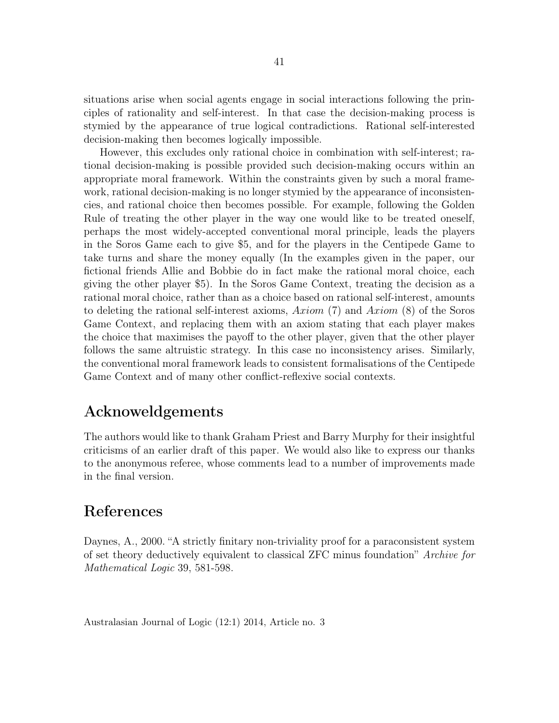situations arise when social agents engage in social interactions following the principles of rationality and self-interest. In that case the decision-making process is stymied by the appearance of true logical contradictions. Rational self-interested decision-making then becomes logically impossible.

However, this excludes only rational choice in combination with self-interest; rational decision-making is possible provided such decision-making occurs within an appropriate moral framework. Within the constraints given by such a moral framework, rational decision-making is no longer stymied by the appearance of inconsistencies, and rational choice then becomes possible. For example, following the Golden Rule of treating the other player in the way one would like to be treated oneself, perhaps the most widely-accepted conventional moral principle, leads the players in the Soros Game each to give \$5, and for the players in the Centipede Game to take turns and share the money equally (In the examples given in the paper, our fictional friends Allie and Bobbie do in fact make the rational moral choice, each giving the other player \$5). In the Soros Game Context, treating the decision as a rational moral choice, rather than as a choice based on rational self-interest, amounts to deleting the rational self-interest axioms,  $Axiom(7)$  and  $Axiom(8)$  of the Soros Game Context, and replacing them with an axiom stating that each player makes the choice that maximises the payoff to the other player, given that the other player follows the same altruistic strategy. In this case no inconsistency arises. Similarly, the conventional moral framework leads to consistent formalisations of the Centipede Game Context and of many other conflict-reflexive social contexts.

## Acknoweldgements

The authors would like to thank Graham Priest and Barry Murphy for their insightful criticisms of an earlier draft of this paper. We would also like to express our thanks to the anonymous referee, whose comments lead to a number of improvements made in the final version.

## References

Daynes, A., 2000. "A strictly finitary non-triviality proof for a paraconsistent system of set theory deductively equivalent to classical ZFC minus foundation" Archive for Mathematical Logic 39, 581-598.